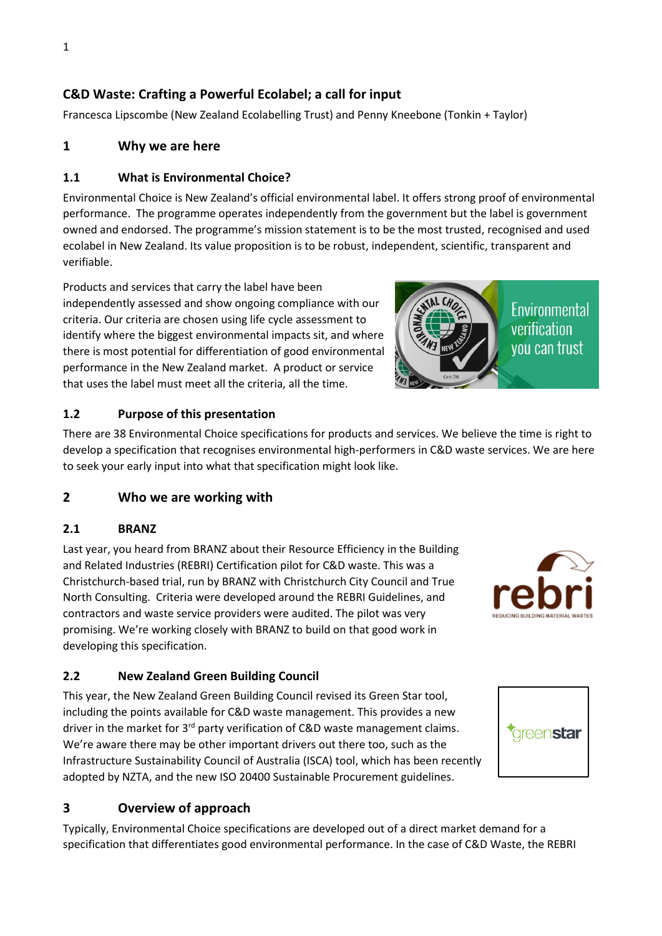# **C&D Waste: Crafting a Powerful Ecolabel; a call for input**

Francesca Lipscombe (New Zealand Ecolabelling Trust) and Penny Kneebone (Tonkin + Taylor)

## **1 Why we are here**

#### **1.1 What is Environmental Choice?**

Environmental Choice is New Zealand's official environmental label. It offers strong proof of environmental performance. The programme operates independently from the government but the label is government owned and endorsed. The programme's mission statement is to be the most trusted, recognised and used ecolabel in New Zealand. Its value proposition is to be robust, independent, scientific, transparent and verifiable.

Products and services that carry the label have been independently assessed and show ongoing compliance with our criteria. Our criteria are chosen using life cycle assessment to identify where the biggest environmental impacts sit, and where there is most potential for differentiation of good environmental performance in the New Zealand market. A product or service that uses the label must meet all the criteria, all the time.



#### **1.2 Purpose of this presentation**

There are 38 Environmental Choice specifications for products and services. We believe the time is right to develop a specification that recognises environmental high-performers in C&D waste services. We are here to seek your early input into what that specification might look like.

### **2 Who we are working with**

#### **2.1 BRANZ**

Last year, you heard from BRANZ about their Resource Efficiency in the Building and Related Industries (REBRI) Certification pilot for C&D waste. This was a Christchurch-based trial, run by BRANZ with Christchurch City Council and True North Consulting. Criteria were developed around the REBRI Guidelines, and contractors and waste service providers were audited. The pilot was very promising. We're working closely with BRANZ to build on that good work in developing this specification.

### **2.2 New Zealand Green Building Council**

This year, the New Zealand Green Building Council revised its Green Star tool, including the points available for C&D waste management. This provides a new driver in the market for 3<sup>rd</sup> party verification of C&D waste management claims. We're aware there may be other important drivers out there too, such as the Infrastructure Sustainability Council of Australia (ISCA) tool, which has been recently adopted by NZTA, and the new ISO 20400 Sustainable Procurement guidelines.

# **3 Overview of approach**

Typically, Environmental Choice specifications are developed out of a direct market demand for a specification that differentiates good environmental performance. In the case of C&D Waste, the REBRI



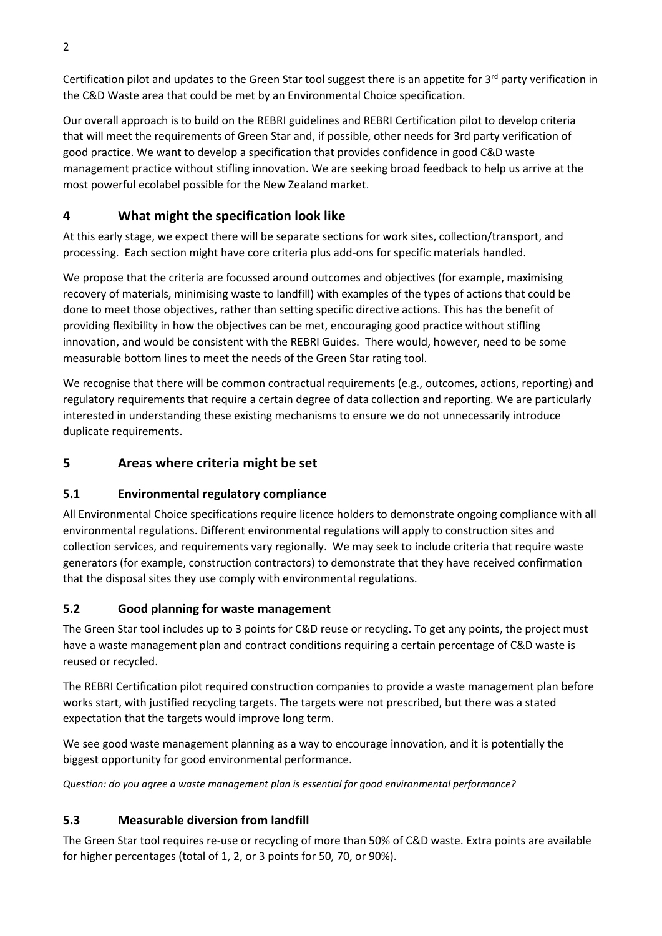Certification pilot and updates to the Green Star tool suggest there is an appetite for  $3^{rd}$  party verification in the C&D Waste area that could be met by an Environmental Choice specification.

Our overall approach is to build on the REBRI guidelines and REBRI Certification pilot to develop criteria that will meet the requirements of Green Star and, if possible, other needs for 3rd party verification of good practice. We want to develop a specification that provides confidence in good C&D waste management practice without stifling innovation. We are seeking broad feedback to help us arrive at the most powerful ecolabel possible for the New Zealand market.

# **4 What might the specification look like**

At this early stage, we expect there will be separate sections for work sites, collection/transport, and processing. Each section might have core criteria plus add-ons for specific materials handled.

We propose that the criteria are focussed around outcomes and objectives (for example, maximising recovery of materials, minimising waste to landfill) with examples of the types of actions that could be done to meet those objectives, rather than setting specific directive actions. This has the benefit of providing flexibility in how the objectives can be met, encouraging good practice without stifling innovation, and would be consistent with the REBRI Guides. There would, however, need to be some measurable bottom lines to meet the needs of the Green Star rating tool.

We recognise that there will be common contractual requirements (e.g., outcomes, actions, reporting) and regulatory requirements that require a certain degree of data collection and reporting. We are particularly interested in understanding these existing mechanisms to ensure we do not unnecessarily introduce duplicate requirements.

# **5 Areas where criteria might be set**

# **5.1 Environmental regulatory compliance**

All Environmental Choice specifications require licence holders to demonstrate ongoing compliance with all environmental regulations. Different environmental regulations will apply to construction sites and collection services, and requirements vary regionally. We may seek to include criteria that require waste generators (for example, construction contractors) to demonstrate that they have received confirmation that the disposal sites they use comply with environmental regulations.

# **5.2 Good planning for waste management**

The Green Star tool includes up to 3 points for C&D reuse or recycling. To get any points, the project must have a waste management plan and contract conditions requiring a certain percentage of C&D waste is reused or recycled.

The REBRI Certification pilot required construction companies to provide a waste management plan before works start, with justified recycling targets. The targets were not prescribed, but there was a stated expectation that the targets would improve long term.

We see good waste management planning as a way to encourage innovation, and it is potentially the biggest opportunity for good environmental performance.

*Question: do you agree a waste management plan is essential for good environmental performance?* 

# **5.3 Measurable diversion from landfill**

The Green Star tool requires re-use or recycling of more than 50% of C&D waste. Extra points are available for higher percentages (total of 1, 2, or 3 points for 50, 70, or 90%).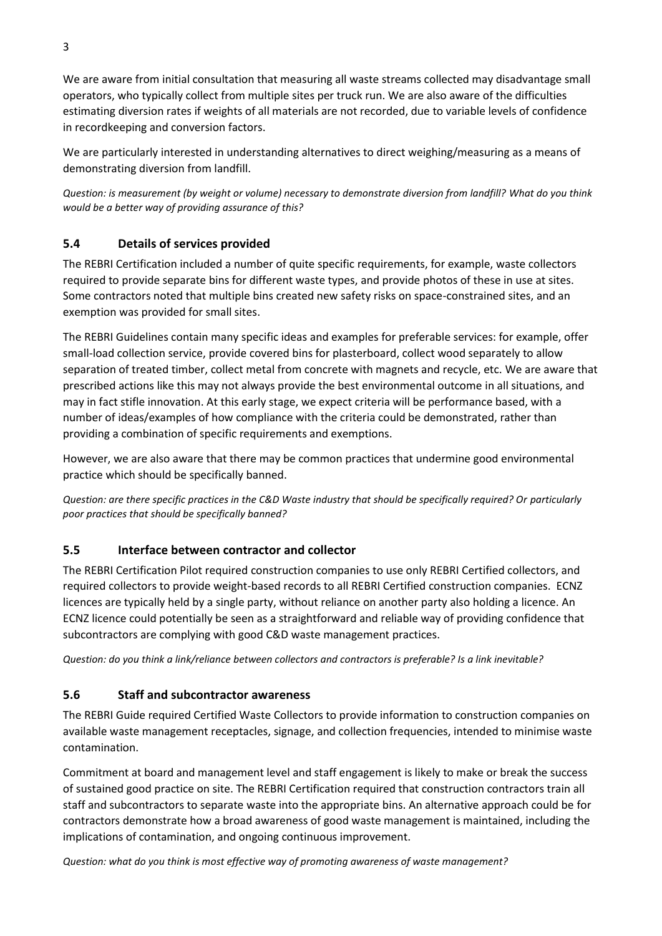We are aware from initial consultation that measuring all waste streams collected may disadvantage small operators, who typically collect from multiple sites per truck run. We are also aware of the difficulties estimating diversion rates if weights of all materials are not recorded, due to variable levels of confidence in recordkeeping and conversion factors.

We are particularly interested in understanding alternatives to direct weighing/measuring as a means of demonstrating diversion from landfill.

*Question: is measurement (by weight or volume) necessary to demonstrate diversion from landfill? What do you think would be a better way of providing assurance of this?*

# **5.4 Details of services provided**

The REBRI Certification included a number of quite specific requirements, for example, waste collectors required to provide separate bins for different waste types, and provide photos of these in use at sites. Some contractors noted that multiple bins created new safety risks on space-constrained sites, and an exemption was provided for small sites.

The REBRI Guidelines contain many specific ideas and examples for preferable services: for example, offer small-load collection service, provide covered bins for plasterboard, collect wood separately to allow separation of treated timber, collect metal from concrete with magnets and recycle, etc. We are aware that prescribed actions like this may not always provide the best environmental outcome in all situations, and may in fact stifle innovation. At this early stage, we expect criteria will be performance based, with a number of ideas/examples of how compliance with the criteria could be demonstrated, rather than providing a combination of specific requirements and exemptions.

However, we are also aware that there may be common practices that undermine good environmental practice which should be specifically banned.

*Question: are there specific practices in the C&D Waste industry that should be specifically required? Or particularly poor practices that should be specifically banned?* 

### **5.5 Interface between contractor and collector**

The REBRI Certification Pilot required construction companies to use only REBRI Certified collectors, and required collectors to provide weight-based records to all REBRI Certified construction companies. ECNZ licences are typically held by a single party, without reliance on another party also holding a licence. An ECNZ licence could potentially be seen as a straightforward and reliable way of providing confidence that subcontractors are complying with good C&D waste management practices.

*Question: do you think a link/reliance between collectors and contractors is preferable? Is a link inevitable?*

### **5.6 Staff and subcontractor awareness**

The REBRI Guide required Certified Waste Collectors to provide information to construction companies on available waste management receptacles, signage, and collection frequencies, intended to minimise waste contamination.

Commitment at board and management level and staff engagement is likely to make or break the success of sustained good practice on site. The REBRI Certification required that construction contractors train all staff and subcontractors to separate waste into the appropriate bins. An alternative approach could be for contractors demonstrate how a broad awareness of good waste management is maintained, including the implications of contamination, and ongoing continuous improvement.

*Question: what do you think is most effective way of promoting awareness of waste management?*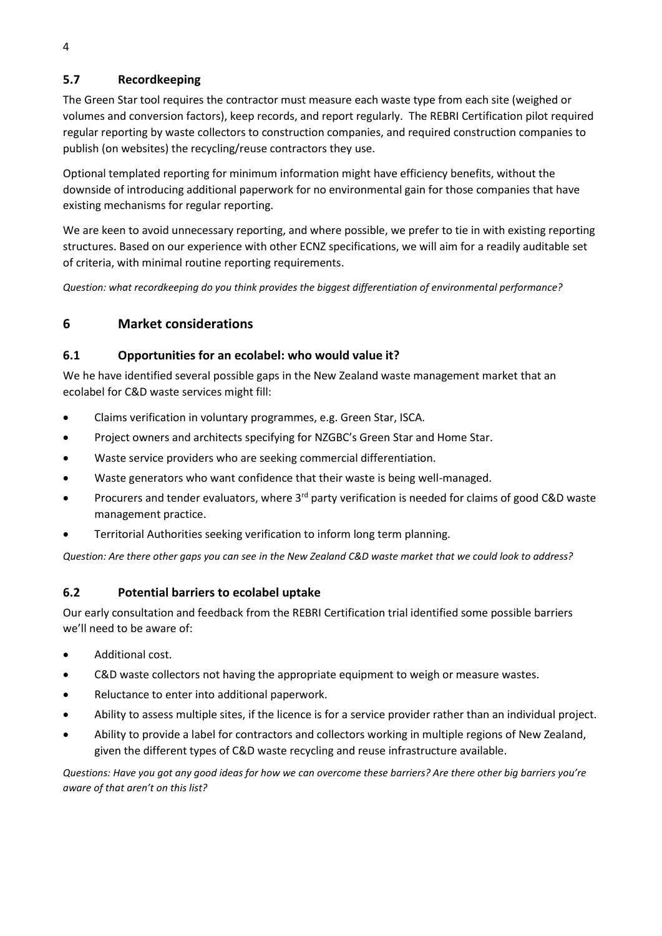# **5.7 Recordkeeping**

The Green Star tool requires the contractor must measure each waste type from each site (weighed or volumes and conversion factors), keep records, and report regularly. The REBRI Certification pilot required regular reporting by waste collectors to construction companies, and required construction companies to publish (on websites) the recycling/reuse contractors they use.

Optional templated reporting for minimum information might have efficiency benefits, without the downside of introducing additional paperwork for no environmental gain for those companies that have existing mechanisms for regular reporting.

We are keen to avoid unnecessary reporting, and where possible, we prefer to tie in with existing reporting structures. Based on our experience with other ECNZ specifications, we will aim for a readily auditable set of criteria, with minimal routine reporting requirements.

*Question: what recordkeeping do you think provides the biggest differentiation of environmental performance?*

# **6 Market considerations**

#### **6.1 Opportunities for an ecolabel: who would value it?**

We he have identified several possible gaps in the New Zealand waste management market that an ecolabel for C&D waste services might fill:

- Claims verification in voluntary programmes, e.g. Green Star, ISCA.
- Project owners and architects specifying for NZGBC's Green Star and Home Star.
- Waste service providers who are seeking commercial differentiation.
- Waste generators who want confidence that their waste is being well-managed.
- Procurers and tender evaluators, where  $3^{rd}$  party verification is needed for claims of good C&D waste management practice.
- Territorial Authorities seeking verification to inform long term planning.

*Question: Are there other gaps you can see in the New Zealand C&D waste market that we could look to address?*

### **6.2 Potential barriers to ecolabel uptake**

Our early consultation and feedback from the REBRI Certification trial identified some possible barriers we'll need to be aware of:

- Additional cost.
- C&D waste collectors not having the appropriate equipment to weigh or measure wastes.
- Reluctance to enter into additional paperwork.
- Ability to assess multiple sites, if the licence is for a service provider rather than an individual project.
- Ability to provide a label for contractors and collectors working in multiple regions of New Zealand, given the different types of C&D waste recycling and reuse infrastructure available.

*Questions: Have you got any good ideas for how we can overcome these barriers? Are there other big barriers you're aware of that aren't on this list?*